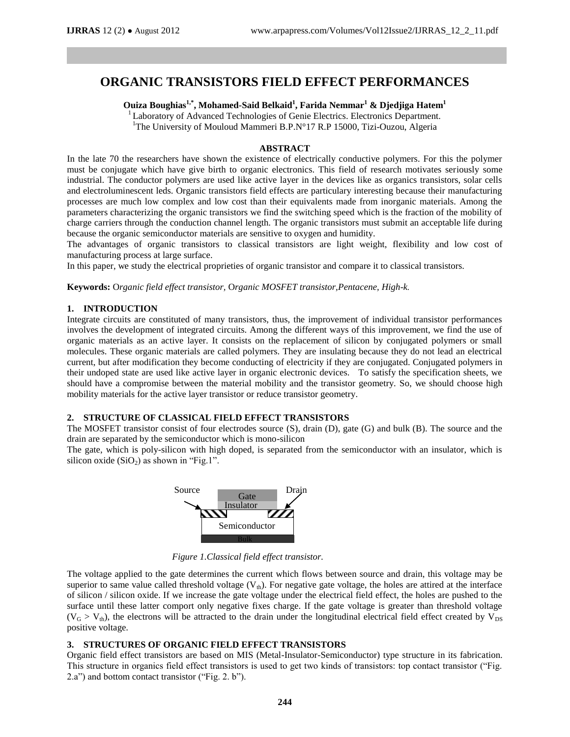# **ORGANIC TRANSISTORS FIELD EFFECT PERFORMANCES**

**Ouiza Boughias1,\* , Mohamed-Said Belkaid<sup>1</sup> , Farida Nemmar<sup>1</sup> & Djedjiga Hatem<sup>1</sup>**

<sup>1</sup> Laboratory of Advanced Technologies of Genie Electrics. Electronics Department.

<sup>1</sup>The University of Mouloud Mammeri B.P.N°17 R.P 15000, Tizi-Ouzou, Algeria

## **ABSTRACT**

In the late 70 the researchers have shown the existence of electrically conductive polymers. For this the polymer must be conjugate which have give birth to organic electronics. This field of research motivates seriously some industrial. The conductor polymers are used like active layer in the devices like as organics transistors, solar cells and electroluminescent leds. Organic transistors field effects are particulary interesting because their manufacturing processes are much low complex and low cost than their equivalents made from inorganic materials. Among the parameters characterizing the organic transistors we find the switching speed which is the fraction of the mobility of charge carriers through the conduction channel length. The organic transistors must submit an acceptable life during because the organic semiconductor materials are sensitive to oxygen and humidity.

The advantages of organic transistors to classical transistors are light weight, flexibility and low cost of manufacturing process at large surface.

In this paper, we study the electrical proprieties of organic transistor and compare it to classical transistors.

**Keywords:** O*rganic field effect transistor,* O*rganic MOSFET transistor,Pentacene, High-k.*

#### **1. INTRODUCTION**

Integrate circuits are constituted of many transistors, thus, the improvement of individual transistor performances involves the development of integrated circuits. Among the different ways of this improvement, we find the use of organic materials as an active layer. It consists on the replacement of silicon by conjugated polymers or small molecules. These organic materials are called polymers. They are insulating because they do not lead an electrical current, but after modification they become conducting of electricity if they are conjugated. Conjugated polymers in their undoped state are used like active layer in organic electronic devices. To satisfy the specification sheets, we should have a compromise between the material mobility and the transistor geometry. So, we should choose high mobility materials for the active layer transistor or reduce transistor geometry.

### **2. STRUCTURE OF CLASSICAL FIELD EFFECT TRANSISTORS**

The MOSFET transistor consist of four electrodes source (S), drain (D), gate (G) and bulk (B). The source and the drain are separated by the semiconductor which is mono-silicon

The gate, which is poly-silicon with high doped, is separated from the semiconductor with an insulator, which is silicon oxide  $(SiO<sub>2</sub>)$  as shown in "Fig.1".



 *Figure 1.Classical field effect transistor.*

The voltage applied to the gate determines the current which flows between source and drain, this voltage may be superior to same value called threshold voltage  $(V<sub>th</sub>)$ . For negative gate voltage, the holes are attired at the interface of silicon / silicon oxide. If we increase the gate voltage under the electrical field effect, the holes are pushed to the surface until these latter comport only negative fixes charge. If the gate voltage is greater than threshold voltage  $(V_G > V_{th})$ , the electrons will be attracted to the drain under the longitudinal electrical field effect created by  $V_{DS}$ positive voltage.

## **3. STRUCTURES OF ORGANIC FIELD EFFECT TRANSISTORS**

Organic field effect transistors are based on MIS (Metal-Insulator-Semiconductor) type structure in its fabrication. This structure in organics field effect transistors is used to get two kinds of transistors: top contact transistor ("Fig. 2.a") and bottom contact transistor ("Fig. 2. b").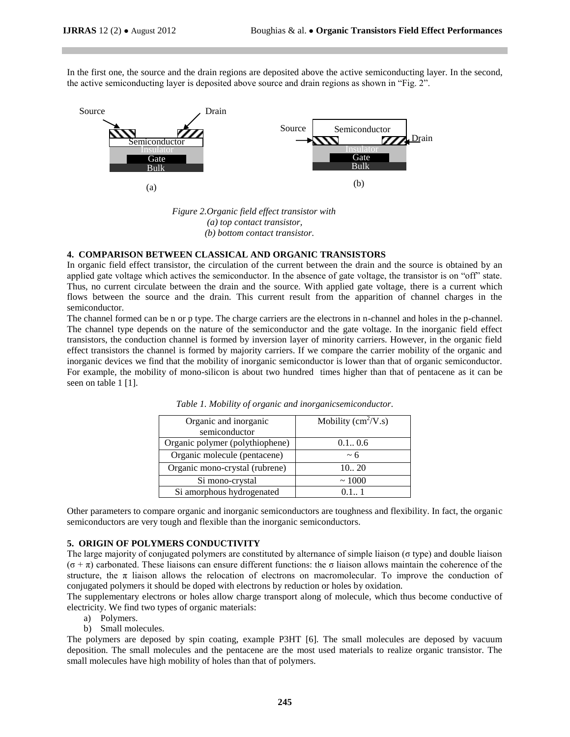In the first one, the source and the drain regions are deposited above the active semiconducting layer. In the second, the active semiconducting layer is deposited above source and drain regions as shown in "Fig. 2".



 *Figure 2.Organic field effect transistor with (a) top contact transistor, (b) bottom contact transistor.*

### **4. COMPARISON BETWEEN CLASSICAL AND ORGANIC TRANSISTORS**

In organic field effect transistor, the circulation of the current between the drain and the source is obtained by an applied gate voltage which actives the semiconductor. In the absence of gate voltage, the transistor is on "off" state. Thus, no current circulate between the drain and the source. With applied gate voltage, there is a current which flows between the source and the drain. This current result from the apparition of channel charges in the semiconductor.

The channel formed can be n or p type. The charge carriers are the electrons in n-channel and holes in the p-channel. The channel type depends on the nature of the semiconductor and the gate voltage. In the inorganic field effect transistors, the conduction channel is formed by inversion layer of minority carriers. However, in the organic field effect transistors the channel is formed by majority carriers. If we compare the carrier mobility of the organic and inorganic devices we find that the mobility of inorganic semiconductor is lower than that of organic semiconductor. For example, the mobility of mono-silicon is about two hundred times higher than that of pentacene as it can be seen on table 1 [1].

| Organic and inorganic           | Mobility $\text{cm}^2/\text{V}$ .s) |  |
|---------------------------------|-------------------------------------|--|
| semiconductor                   |                                     |  |
| Organic polymer (polythiophene) | 0.10.6                              |  |
| Organic molecule (pentacene)    | $~1$ 6                              |  |
| Organic mono-crystal (rubrene)  | 1020                                |  |
| Si mono-crystal                 | ~1000                               |  |
| Si amorphous hydrogenated       |                                     |  |

*Table 1. Mobility of organic and inorganicsemiconductor.*

Other parameters to compare organic and inorganic semiconductors are toughness and flexibility. In fact, the organic semiconductors are very tough and flexible than the inorganic semiconductors.

#### **5. ORIGIN OF POLYMERS CONDUCTIVITY**

The large majority of conjugated polymers are constituted by alternance of simple liaison (σ type) and double liaison  $(\sigma + \pi)$  carbonated. These liaisons can ensure different functions: the  $\sigma$  liaison allows maintain the coherence of the structure, the  $\pi$  liaison allows the relocation of electrons on macromolecular. To improve the conduction of conjugated polymers it should be doped with electrons by reduction or holes by oxidation.

The supplementary electrons or holes allow charge transport along of molecule, which thus become conductive of electricity. We find two types of organic materials:

- a) Polymers.
- b) Small molecules.

The polymers are deposed by spin coating, example P3HT [6]. The small molecules are deposed by vacuum deposition. The small molecules and the pentacene are the most used materials to realize organic transistor. The small molecules have high mobility of holes than that of polymers.